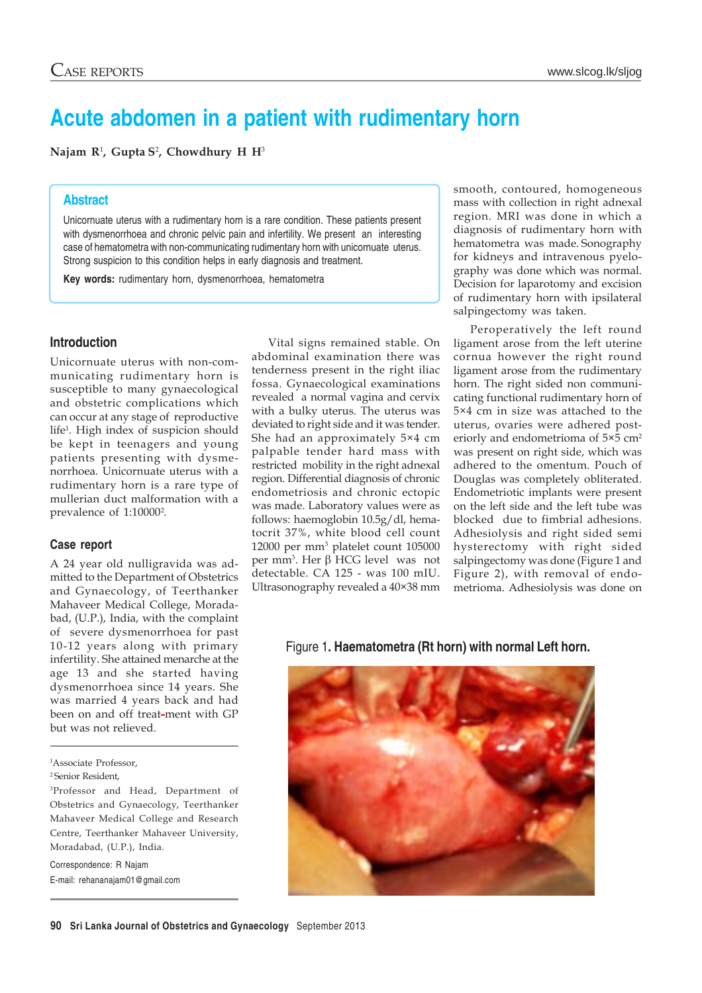# **Acute abdomen in a patient with rudimentary horn**

**Najam R**<sup>1</sup> **, Gupta S**<sup>2</sup> **, Chowdhury H H**<sup>3</sup>

# **Abstract**

Unicornuate uterus with a rudimentary horn is a rare condition. These patients present with dysmenorrhoea and chronic pelvic pain and infertility. We present an interesting case of hematometra with non-communicating rudimentary horn with unicornuate uterus. Strong suspicion to this condition helps in early diagnosis and treatment.

**Key words:** rudimentary horn, dysmenorrhoea, hematometra

## **Introduction**

Unicornuate uterus with non-communicating rudimentary horn is susceptible to many gynaecological and obstetric complications which can occur at any stage of reproductive life1 . High index of suspicion should be kept in teenagers and young patients presenting with dysmenorrhoea. Unicornuate uterus with a rudimentary horn is a rare type of mullerian duct malformation with a prevalence of 1:10000<sup>2</sup>.

#### **Case report**

A 24 year old nulligravida was admitted to the Department of Obstetrics and Gynaecology, of Teerthanker Mahaveer Medical College, Moradabad, (U.P.), India, with the complaint of severe dysmenorrhoea for past 10-12 years along with primary infertility. She attained menarche at the age 13 and she started having dysmenorrhoea since 14 years. She was married 4 years back and had been on and off treat-ment with GP but was not relieved.

Correspondence: R Najam E-mail: rehananajam01@gmail.com

Vital signs remained stable. On abdominal examination there was tenderness present in the right iliac fossa. Gynaecological examinations revealed a normal vagina and cervix with a bulky uterus. The uterus was deviated to right side and it was tender. She had an approximately 5×4 cm palpable tender hard mass with restricted mobility in the right adnexal region. Differential diagnosis of chronic endometriosis and chronic ectopic was made. Laboratory values were as follows: haemoglobin 10.5g/dl, hematocrit 37%, white blood cell count 12000 per mm3 platelet count 105000 per mm3 . Her β HCG level was not detectable. CA 125 - was 100 mIU. Ultrasonography revealed a 40×38 mm smooth, contoured, homogeneous mass with collection in right adnexal region. MRI was done in which a diagnosis of rudimentary horn with hematometra was made. Sonography for kidneys and intravenous pyelography was done which was normal. Decision for laparotomy and excision of rudimentary horn with ipsilateral salpingectomy was taken.

Peroperatively the left round ligament arose from the left uterine cornua however the right round ligament arose from the rudimentary horn. The right sided non communicating functional rudimentary horn of 5×4 cm in size was attached to the uterus, ovaries were adhered posteriorly and endometrioma of 5×5 cm<sup>2</sup> was present on right side, which was adhered to the omentum. Pouch of Douglas was completely obliterated. Endometriotic implants were present on the left side and the left tube was blocked due to fimbrial adhesions. Adhesiolysis and right sided semi hysterectomy with right sided salpingectomy was done (Figure 1 and Figure 2), with removal of endometrioma. Adhesiolysis was done on

Figure 1**. Haematometra (Rt horn) with normal Left horn.**



<sup>1</sup> Associate Professor,

<sup>2</sup> Senior Resident,

<sup>3</sup>Professor and Head, Department of Obstetrics and Gynaecology, Teerthanker Mahaveer Medical College and Research Centre, Teerthanker Mahaveer University, Moradabad, (U.P.), India.